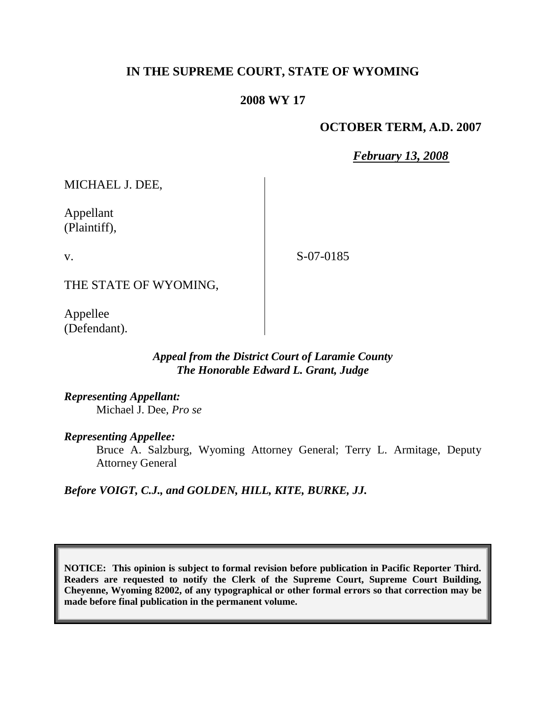## **IN THE SUPREME COURT, STATE OF WYOMING**

## **2008 WY 17**

## **OCTOBER TERM, A.D. 2007**

*February 13, 2008*

MICHAEL J. DEE,

Appellant (Plaintiff),

v.

S-07-0185

THE STATE OF WYOMING,

Appellee (Defendant).

> *Appeal from the District Court of Laramie County The Honorable Edward L. Grant, Judge*

*Representing Appellant:* Michael J. Dee, *Pro se*

*Representing Appellee:*

Bruce A. Salzburg, Wyoming Attorney General; Terry L. Armitage, Deputy Attorney General

*Before VOIGT, C.J., and GOLDEN, HILL, KITE, BURKE, JJ.*

**NOTICE: This opinion is subject to formal revision before publication in Pacific Reporter Third. Readers are requested to notify the Clerk of the Supreme Court, Supreme Court Building, Cheyenne, Wyoming 82002, of any typographical or other formal errors so that correction may be made before final publication in the permanent volume.**